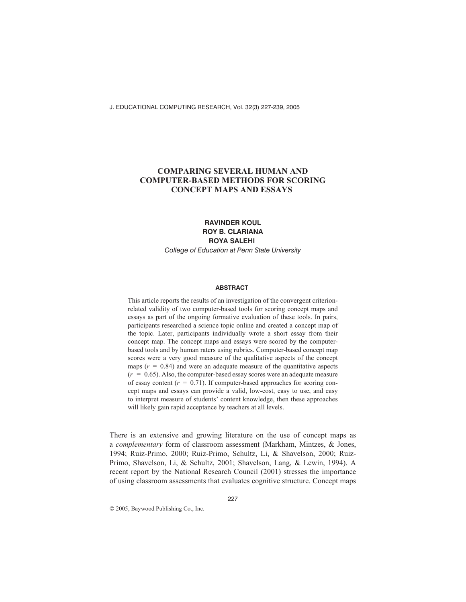# **COMPARING SEVERAL HUMAN AND COMPUTER-BASED METHODS FOR SCORING CONCEPT MAPS AND ESSAYS**

## **RAVINDER KOUL ROY B. CLARIANA ROYA SALEHI** *College of Education at Penn State University*

### **ABSTRACT**

This article reports the results of an investigation of the convergent criterionrelated validity of two computer-based tools for scoring concept maps and essays as part of the ongoing formative evaluation of these tools. In pairs, participants researched a science topic online and created a concept map of the topic. Later, participants individually wrote a short essay from their concept map. The concept maps and essays were scored by the computerbased tools and by human raters using rubrics. Computer-based concept map scores were a very good measure of the qualitative aspects of the concept maps  $(r = 0.84)$  and were an adequate measure of the quantitative aspects  $(r = 0.65)$ . Also, the computer-based essay scores were an adequate measure of essay content  $(r = 0.71)$ . If computer-based approaches for scoring concept maps and essays can provide a valid, low-cost, easy to use, and easy to interpret measure of students' content knowledge, then these approaches will likely gain rapid acceptance by teachers at all levels.

There is an extensive and growing literature on the use of concept maps as a *complementary* form of classroom assessment (Markham, Mintzes, & Jones, 1994; Ruiz-Primo, 2000; Ruiz-Primo, Schultz, Li, & Shavelson, 2000; Ruiz-Primo, Shavelson, Li, & Schultz, 2001; Shavelson, Lang, & Lewin, 1994). A recent report by the National Research Council (2001) stresses the importance of using classroom assessments that evaluates cognitive structure. Concept maps

2005, Baywood Publishing Co., Inc.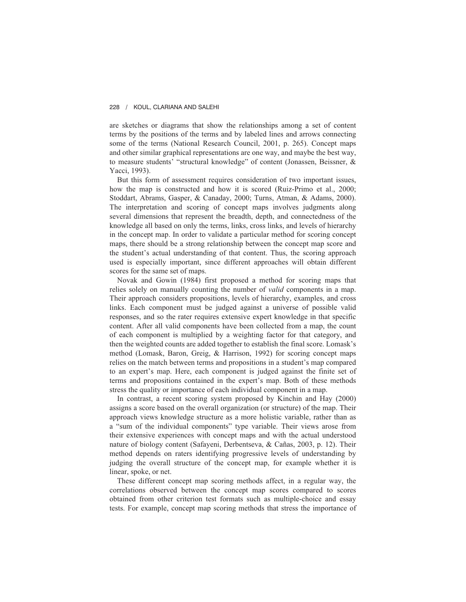are sketches or diagrams that show the relationships among a set of content terms by the positions of the terms and by labeled lines and arrows connecting some of the terms (National Research Council, 2001, p. 265). Concept maps and other similar graphical representations are one way, and maybe the best way, to measure students' "structural knowledge" of content (Jonassen, Beissner, & Yacci, 1993).

But this form of assessment requires consideration of two important issues, how the map is constructed and how it is scored (Ruiz-Primo et al., 2000; Stoddart, Abrams, Gasper, & Canaday, 2000; Turns, Atman, & Adams, 2000). The interpretation and scoring of concept maps involves judgments along several dimensions that represent the breadth, depth, and connectedness of the knowledge all based on only the terms, links, cross links, and levels of hierarchy in the concept map. In order to validate a particular method for scoring concept maps, there should be a strong relationship between the concept map score and the student's actual understanding of that content. Thus, the scoring approach used is especially important, since different approaches will obtain different scores for the same set of maps.

Novak and Gowin (1984) first proposed a method for scoring maps that relies solely on manually counting the number of *valid* components in a map. Their approach considers propositions, levels of hierarchy, examples, and cross links. Each component must be judged against a universe of possible valid responses, and so the rater requires extensive expert knowledge in that specific content. After all valid components have been collected from a map, the count of each component is multiplied by a weighting factor for that category, and then the weighted counts are added together to establish the final score. Lomask's method (Lomask, Baron, Greig, & Harrison, 1992) for scoring concept maps relies on the match between terms and propositions in a student's map compared to an expert's map. Here, each component is judged against the finite set of terms and propositions contained in the expert's map. Both of these methods stress the quality or importance of each individual component in a map.

In contrast, a recent scoring system proposed by Kinchin and Hay (2000) assigns a score based on the overall organization (or structure) of the map. Their approach views knowledge structure as a more holistic variable, rather than as a "sum of the individual components" type variable. Their views arose from their extensive experiences with concept maps and with the actual understood nature of biology content (Safayeni, Derbentseva, & Cañas, 2003, p. 12). Their method depends on raters identifying progressive levels of understanding by judging the overall structure of the concept map, for example whether it is linear, spoke, or net.

These different concept map scoring methods affect, in a regular way, the correlations observed between the concept map scores compared to scores obtained from other criterion test formats such as multiple-choice and essay tests. For example, concept map scoring methods that stress the importance of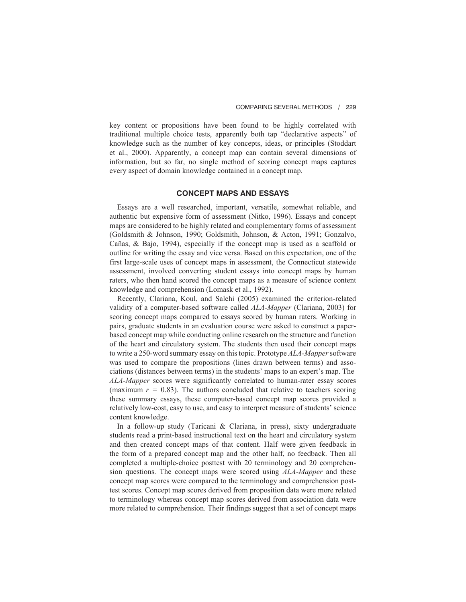key content or propositions have been found to be highly correlated with traditional multiple choice tests, apparently both tap "declarative aspects" of knowledge such as the number of key concepts, ideas, or principles (Stoddart et al., 2000). Apparently, a concept map can contain several dimensions of information, but so far, no single method of scoring concept maps captures every aspect of domain knowledge contained in a concept map.

### **CONCEPT MAPS AND ESSAYS**

Essays are a well researched, important, versatile, somewhat reliable, and authentic but expensive form of assessment (Nitko, 1996). Essays and concept maps are considered to be highly related and complementary forms of assessment (Goldsmith & Johnson, 1990; Goldsmith, Johnson, & Acton, 1991; Gonzalvo, Cañas, & Bajo, 1994), especially if the concept map is used as a scaffold or outline for writing the essay and vice versa. Based on this expectation, one of the first large-scale uses of concept maps in assessment, the Connecticut statewide assessment, involved converting student essays into concept maps by human raters, who then hand scored the concept maps as a measure of science content knowledge and comprehension (Lomask et al., 1992).

Recently, Clariana, Koul, and Salehi (2005) examined the criterion-related validity of a computer-based software called *ALA-Mapper* (Clariana, 2003) for scoring concept maps compared to essays scored by human raters. Working in pairs, graduate students in an evaluation course were asked to construct a paperbased concept map while conducting online research on the structure and function of the heart and circulatory system. The students then used their concept maps to write a 250-word summary essay on this topic. Prototype *ALA-Mapper*software was used to compare the propositions (lines drawn between terms) and associations (distances between terms) in the students' maps to an expert's map. The *ALA-Mapper* scores were significantly correlated to human-rater essay scores (maximum  $r = 0.83$ ). The authors concluded that relative to teachers scoring these summary essays, these computer-based concept map scores provided a relatively low-cost, easy to use, and easy to interpret measure of students' science content knowledge.

In a follow-up study (Taricani & Clariana, in press), sixty undergraduate students read a print-based instructional text on the heart and circulatory system and then created concept maps of that content. Half were given feedback in the form of a prepared concept map and the other half, no feedback. Then all completed a multiple-choice posttest with 20 terminology and 20 comprehension questions. The concept maps were scored using *ALA-Mapper* and these concept map scores were compared to the terminology and comprehension posttest scores. Concept map scores derived from proposition data were more related to terminology whereas concept map scores derived from association data were more related to comprehension. Their findings suggest that a set of concept maps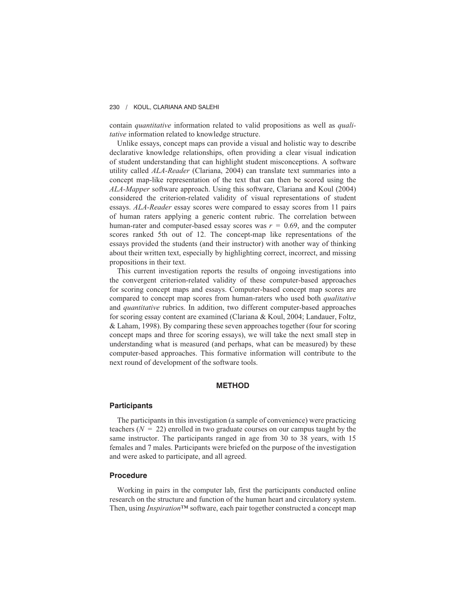contain *quantitative* information related to valid propositions as well as *qualitative* information related to knowledge structure.

Unlike essays, concept maps can provide a visual and holistic way to describe declarative knowledge relationships, often providing a clear visual indication of student understanding that can highlight student misconceptions. A software utility called *ALA-Reader* (Clariana, 2004) can translate text summaries into a concept map-like representation of the text that can then be scored using the *ALA-Mapper* software approach. Using this software, Clariana and Koul (2004) considered the criterion-related validity of visual representations of student essays. *ALA-Reader* essay scores were compared to essay scores from 11 pairs of human raters applying a generic content rubric. The correlation between human-rater and computer-based essay scores was  $r = 0.69$ , and the computer scores ranked 5th out of 12. The concept-map like representations of the essays provided the students (and their instructor) with another way of thinking about their written text, especially by highlighting correct, incorrect, and missing propositions in their text.

This current investigation reports the results of ongoing investigations into the convergent criterion-related validity of these computer-based approaches for scoring concept maps and essays. Computer-based concept map scores are compared to concept map scores from human-raters who used both *qualitative* and *quantitative* rubrics. In addition, two different computer-based approaches for scoring essay content are examined (Clariana & Koul, 2004; Landauer, Foltz, & Laham, 1998). By comparing these seven approaches together (four for scoring concept maps and three for scoring essays), we will take the next small step in understanding what is measured (and perhaps, what can be measured) by these computer-based approaches. This formative information will contribute to the next round of development of the software tools.

### **METHOD**

## **Participants**

The participants in this investigation (a sample of convenience) were practicing teachers  $(N = 22)$  enrolled in two graduate courses on our campus taught by the same instructor. The participants ranged in age from 30 to 38 years, with 15 females and 7 males. Participants were briefed on the purpose of the investigation and were asked to participate, and all agreed.

## **Procedure**

Working in pairs in the computer lab, first the participants conducted online research on the structure and function of the human heart and circulatory system. Then, using *Inspiration*™ software, each pair together constructed a concept map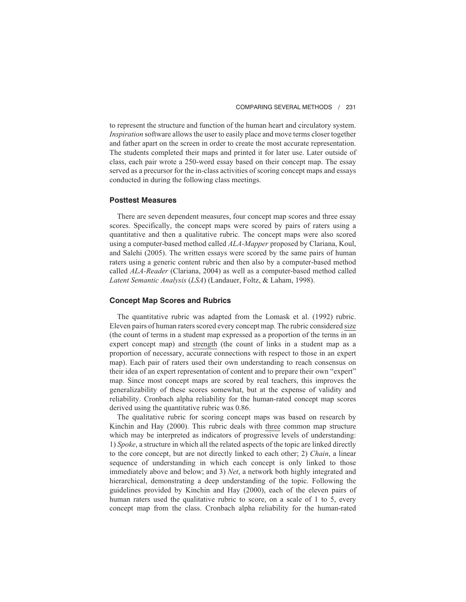to represent the structure and function of the human heart and circulatory system. *Inspiration* software allows the user to easily place and move terms closer together and father apart on the screen in order to create the most accurate representation. The students completed their maps and printed it for later use. Later outside of class, each pair wrote a 250-word essay based on their concept map. The essay served as a precursor for the in-class activities of scoring concept maps and essays conducted in during the following class meetings.

### **Posttest Measures**

There are seven dependent measures, four concept map scores and three essay scores. Specifically, the concept maps were scored by pairs of raters using a quantitative and then a qualitative rubric. The concept maps were also scored using a computer-based method called *ALA-Mapper* proposed by Clariana, Koul, and Salehi (2005). The written essays were scored by the same pairs of human raters using a generic content rubric and then also by a computer-based method called *ALA-Reader* (Clariana, 2004) as well as a computer-based method called *Latent Semantic Analysis* (*LSA*) (Landauer, Foltz, & Laham, 1998).

### **Concept Map Scores and Rubrics**

The quantitative rubric was adapted from the Lomask et al. (1992) rubric. Eleven pairs of human raters scored every concept map. The rubric considered size (the count of terms in a student map expressed as a proportion of the terms in an expert concept map) and strength (the count of links in a student map as a proportion of necessary, accurate connections with respect to those in an expert map). Each pair of raters used their own understanding to reach consensus on their idea of an expert representation of content and to prepare their own "expert" map. Since most concept maps are scored by real teachers, this improves the generalizability of these scores somewhat, but at the expense of validity and reliability. Cronbach alpha reliability for the human-rated concept map scores derived using the quantitative rubric was 0.86.

The qualitative rubric for scoring concept maps was based on research by Kinchin and Hay (2000). This rubric deals with three common map structure which may be interpreted as indicators of progressive levels of understanding: 1) *Spoke*, a structure in which all the related aspects of the topic are linked directly to the core concept, but are not directly linked to each other; 2) *Chain*, a linear sequence of understanding in which each concept is only linked to those immediately above and below; and 3) *Net*, a network both highly integrated and hierarchical, demonstrating a deep understanding of the topic. Following the guidelines provided by Kinchin and Hay (2000), each of the eleven pairs of human raters used the qualitative rubric to score, on a scale of 1 to 5, every concept map from the class. Cronbach alpha reliability for the human-rated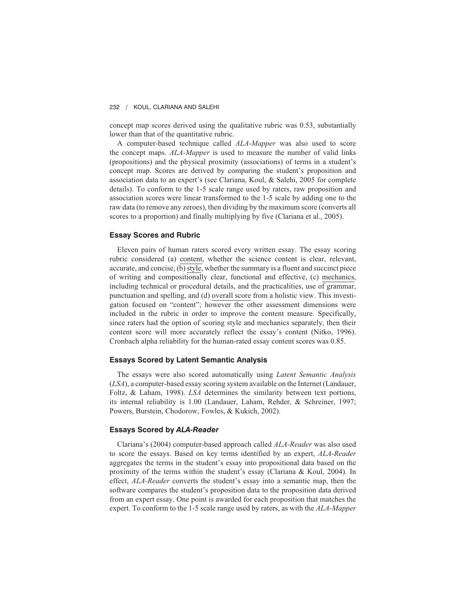concept map scores derived using the qualitative rubric was 0.53, substantially lower than that of the quantitative rubric.

A computer-based technique called *ALA-Mapper* was also used to score the concept maps. *ALA-Mapper* is used to measure the number of valid links (propositions) and the physical proximity (associations) of terms in a student's concept map. Scores are derived by comparing the student's proposition and association data to an expert's (see Clariana, Koul, & Salehi, 2005 for complete details). To conform to the 1-5 scale range used by raters, raw proposition and association scores were linear transformed to the 1-5 scale by adding one to the raw data (to remove any zeroes), then dividing by the maximum score (converts all scores to a proportion) and finally multiplying by five (Clariana et al., 2005).

#### **Essay Scores and Rubric**

Eleven pairs of human raters scored every written essay. The essay scoring rubric considered (a) content, whether the science content is clear, relevant, accurate, and concise, (b) style, whether the summary is a fluent and succinct piece of writing and compositionally clear, functional and effective, (c) mechanics, including technical or procedural details, and the practicalities, use of grammar, punctuation and spelling, and (d) overall score from a holistic view. This investigation focused on "content"; however the other assessment dimensions were included in the rubric in order to improve the content measure. Specifically, since raters had the option of scoring style and mechanics separately, then their content score will more accurately reflect the essay's content (Nitko, 1996). Cronbach alpha reliability for the human-rated essay content scores was 0.85.

## **Essays Scored by Latent Semantic Analysis**

The essays were also scored automatically using *Latent Semantic Analysis* (*LSA*), a computer-based essay scoring system available on the Internet (Landauer, Foltz, & Laham, 1998). *LSA* determines the similarity between text portions, its internal reliability is 1.00 (Landauer, Laham, Rehder, & Schreiner, 1997; Powers, Burstein, Chodorow, Fowles, & Kukich, 2002).

## **Essays Scored by** *ALA-Reader*

Clariana's (2004) computer-based approach called *ALA-Reader* was also used to score the essays. Based on key terms identified by an expert, *ALA-Reader* aggregates the terms in the student's essay into propositional data based on the proximity of the terms within the student's essay (Clariana & Koul, 2004). In effect, *ALA-Reader* converts the student's essay into a semantic map, then the software compares the student's proposition data to the proposition data derived from an expert essay. One point is awarded for each proposition that matches the expert. To conform to the 1-5 scale range used by raters, as with the *ALA-Mapper*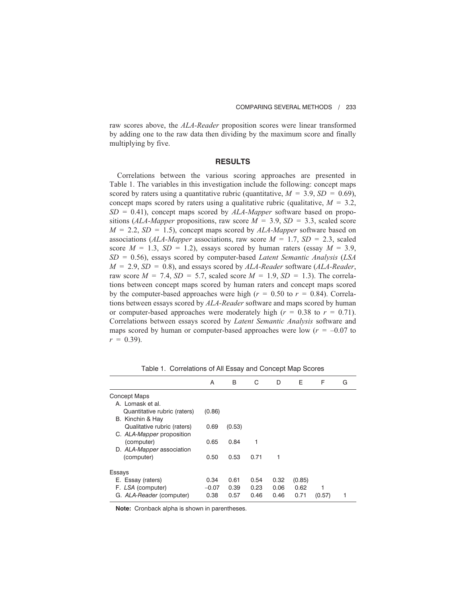raw scores above, the *ALA-Reader* proposition scores were linear transformed by adding one to the raw data then dividing by the maximum score and finally multiplying by five.

### **RESULTS**

Correlations between the various scoring approaches are presented in Table 1. The variables in this investigation include the following: concept maps scored by raters using a quantitative rubric (quantitative,  $M = 3.9$ ,  $SD = 0.69$ ), concept maps scored by raters using a qualitative rubric (qualitative,  $M = 3.2$ , *SD* = 0.41), concept maps scored by *ALA-Mapper* software based on propositions (*ALA-Mapper* propositions, raw score  $M = 3.9$ ,  $SD = 3.3$ , scaled score  $M = 2.2$ ,  $SD = 1.5$ ), concept maps scored by  $ALA-Mapper$  software based on associations (*ALA-Mapper* associations, raw score  $M = 1.7$ ,  $SD = 2.3$ , scaled score  $M = 1.3$ ,  $SD = 1.2$ ), essays scored by human raters (essay  $M = 3.9$ , *SD* = 0.56), essays scored by computer-based *Latent Semantic Analysis* (*LSA M* = 2.9, *SD* = 0.8), and essays scored by *ALA-Reader* software (*ALA-Reader*, raw score  $M = 7.4$ ,  $SD = 5.7$ , scaled score  $M = 1.9$ ,  $SD = 1.3$ ). The correlations between concept maps scored by human raters and concept maps scored by the computer-based approaches were high  $(r = 0.50$  to  $r = 0.84$ ). Correlations between essays scored by *ALA-Reader* software and maps scored by human or computer-based approaches were moderately high  $(r = 0.38$  to  $r = 0.71$ ). Correlations between essays scored by *Latent Semantic Analysis* software and maps scored by human or computer-based approaches were low ( $r = -0.07$  to  $r = 0.39$ .

|                              | A       | B      | C    | D    | Е      | F      | G |
|------------------------------|---------|--------|------|------|--------|--------|---|
| Concept Maps                 |         |        |      |      |        |        |   |
| A. Lomask et al.             |         |        |      |      |        |        |   |
| Quantitative rubric (raters) | (0.86)  |        |      |      |        |        |   |
| B. Kinchin & Hay             |         |        |      |      |        |        |   |
| Qualitative rubric (raters)  | 0.69    | (0.53) |      |      |        |        |   |
| C. ALA-Mapper proposition    |         |        |      |      |        |        |   |
| (computer)                   | 0.65    | 0.84   | 1    |      |        |        |   |
| D. ALA-Mapper association    |         |        |      |      |        |        |   |
| (computer)                   | 0.50    | 0.53   | 0.71 | 1    |        |        |   |
| Essays                       |         |        |      |      |        |        |   |
|                              | 0.34    | 0.61   |      |      |        |        |   |
| E. Essay (raters)            |         |        | 0.54 | 0.32 | (0.85) |        |   |
| F. LSA (computer)            | $-0.07$ | 0.39   | 0.23 | 0.06 | 0.62   |        |   |
| G. ALA-Reader (computer)     | 0.38    | 0.57   | 0.46 | 0.46 | 0.71   | (0.57) |   |

Table 1. Correlations of All Essay and Concept Map Scores

**Note:** Cronback alpha is shown in parentheses.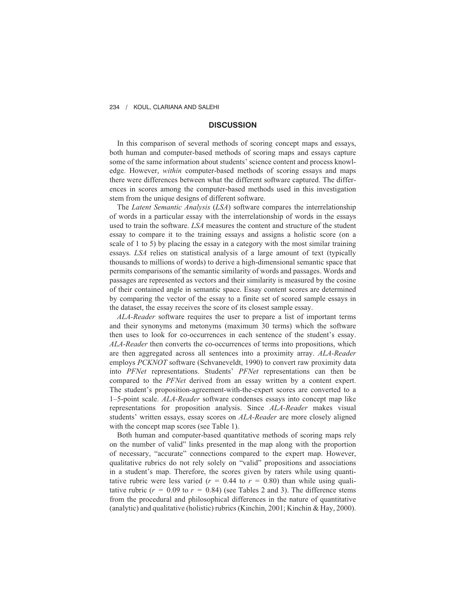## **DISCUSSION**

In this comparison of several methods of scoring concept maps and essays, both human and computer-based methods of scoring maps and essays capture some of the same information about students' science content and process knowledge. However, *within* computer-based methods of scoring essays and maps there were differences between what the different software captured. The differences in scores among the computer-based methods used in this investigation stem from the unique designs of different software.

The *Latent Semantic Analysis* (*LSA*) software compares the interrelationship of words in a particular essay with the interrelationship of words in the essays used to train the software. *LSA* measures the content and structure of the student essay to compare it to the training essays and assigns a holistic score (on a scale of 1 to 5) by placing the essay in a category with the most similar training essays. *LSA* relies on statistical analysis of a large amount of text (typically thousands to millions of words) to derive a high-dimensional semantic space that permits comparisons of the semantic similarity of words and passages. Words and passages are represented as vectors and their similarity is measured by the cosine of their contained angle in semantic space. Essay content scores are determined by comparing the vector of the essay to a finite set of scored sample essays in the dataset, the essay receives the score of its closest sample essay.

*ALA-Reader* software requires the user to prepare a list of important terms and their synonyms and metonyms (maximum 30 terms) which the software then uses to look for co-occurrences in each sentence of the student's essay. *ALA-Reader* then converts the co-occurrences of terms into propositions, which are then aggregated across all sentences into a proximity array. *ALA-Reader* employs *PCKNOT* software (Schvaneveldt, 1990) to convert raw proximity data into *PFNet* representations. Students' *PFNet* representations can then be compared to the *PFNet* derived from an essay written by a content expert. The student's proposition-agreement-with-the-expert scores are converted to a 1–5-point scale. *ALA-Reader* software condenses essays into concept map like representations for proposition analysis. Since *ALA-Reader* makes visual students' written essays, essay scores on *ALA-Reader* are more closely aligned with the concept map scores (see Table 1).

Both human and computer-based quantitative methods of scoring maps rely on the number of valid" links presented in the map along with the proportion of necessary, "accurate" connections compared to the expert map. However, qualitative rubrics do not rely solely on "valid" propositions and associations in a student's map. Therefore, the scores given by raters while using quantitative rubric were less varied ( $r = 0.44$  to  $r = 0.80$ ) than while using qualitative rubric  $(r = 0.09$  to  $r = 0.84$ ) (see Tables 2 and 3). The difference stems from the procedural and philosophical differences in the nature of quantitative (analytic) and qualitative (holistic) rubrics (Kinchin, 2001; Kinchin & Hay, 2000).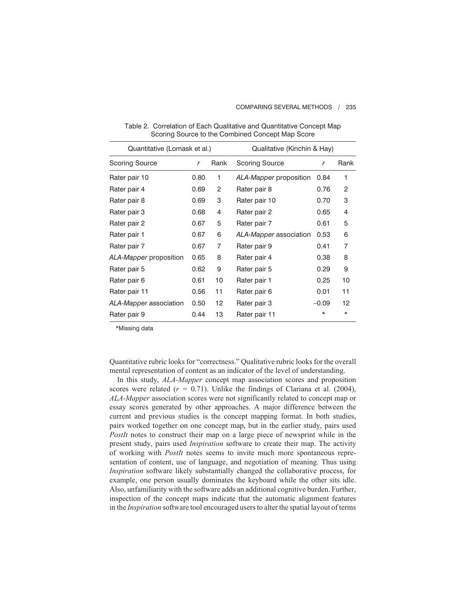| Quantitative (Lomask et al.) |      |      | Qualitative (Kinchin & Hay) |          |         |  |
|------------------------------|------|------|-----------------------------|----------|---------|--|
| Scoring Source               | r    | Rank | <b>Scoring Source</b>       | r        | Rank    |  |
| Rater pair 10                | 0.80 | 1    | ALA-Mapper proposition      | 0.84     | 1       |  |
| Rater pair 4                 | 0.69 | 2    | Rater pair 8                | 0.76     | 2       |  |
| Rater pair 8                 | 0.69 | 3    | Rater pair 10               | 0.70     | 3       |  |
| Rater pair 3                 | 0.68 | 4    | Rater pair 2                | 0.65     | 4       |  |
| Rater pair 2                 | 0.67 | 5    | Rater pair 7                | 0.61     | 5       |  |
| Rater pair 1                 | 0.67 | 6    | ALA-Mapper association      | 0.53     | 6       |  |
| Rater pair 7                 | 0.67 | 7    | Rater pair 9                | 0.41     | 7       |  |
| ALA-Mapper proposition       | 0.65 | 8    | Rater pair 4                | 0.38     | 8       |  |
| Rater pair 5                 | 0.62 | 9    | Rater pair 5                | 0.29     | 9       |  |
| Rater pair 6                 | 0.61 | 10   | Rater pair 1                | 0.25     | 10      |  |
| Rater pair 11                | 0.56 | 11   | Rater pair 6                | 0.01     | 11      |  |
| ALA-Mapper association       | 0.50 | 12   | Rater pair 3                | $-0.09$  | 12      |  |
| Rater pair 9                 | 0.44 | 13   | Rater pair 11               | $^\star$ | $\star$ |  |
|                              |      |      |                             |          |         |  |

Table 2. Correlation of Each Qualitative and Quantitative Concept Map Scoring Source to the Combined Concept Map Score

\*Missing data

Quantitative rubric looks for "correctness." Qualitative rubric looks for the overall mental representation of content as an indicator of the level of understanding.

In this study, *ALA-Mapper* concept map association scores and proposition scores were related  $(r = 0.71)$ . Unlike the findings of Clariana et al. (2004), *ALA-Mapper* association scores were not significantly related to concept map or essay scores generated by other approaches. A major difference between the current and previous studies is the concept mapping format. In both studies, pairs worked together on one concept map, but in the earlier study, pairs used *PostIt* notes to construct their map on a large piece of newsprint while in the present study, pairs used *Inspiration* software to create their map. The activity of working with *PostIt* notes seems to invite much more spontaneous representation of content, use of language, and negotiation of meaning. Thus using *Inspiration* software likely substantially changed the collaborative process, for example, one person usually dominates the keyboard while the other sits idle. Also, unfamiliarity with the software adds an additional cognitive burden. Further, inspection of the concept maps indicate that the automatic alignment features in the *Inspiration* software tool encouraged users to alter the spatial layout of terms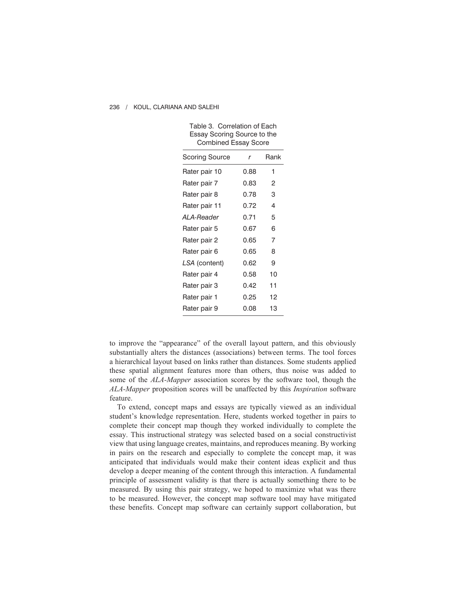| Essay Scoring Source to the<br><b>Combined Essay Score</b> |      |      |  |  |  |  |
|------------------------------------------------------------|------|------|--|--|--|--|
| Scoring Source                                             | r    | Rank |  |  |  |  |
| Rater pair 10                                              | 0.88 | 1    |  |  |  |  |
| Rater pair 7                                               | 0.83 | 2    |  |  |  |  |
| Rater pair 8                                               | 0.78 | 3    |  |  |  |  |
| Rater pair 11                                              | 0.72 | 4    |  |  |  |  |
| ALA-Reader                                                 | 0.71 | 5    |  |  |  |  |
| Rater pair 5                                               | 0.67 | 6    |  |  |  |  |
| Rater pair 2                                               | 0.65 | 7    |  |  |  |  |
| Rater pair 6                                               | 0.65 | 8    |  |  |  |  |
| LSA (content)                                              | 0.62 | 9    |  |  |  |  |
| Rater pair 4                                               | 0.58 | 10   |  |  |  |  |
| Rater pair 3                                               | 0.42 | 11   |  |  |  |  |
| Rater pair 1                                               | 0.25 | 12   |  |  |  |  |
| Rater pair 9                                               | 0.08 | 13   |  |  |  |  |

Table 3. Correlation of Each

#### 236 / KOUL, CLARIANA AND SALEHI

to improve the "appearance" of the overall layout pattern, and this obviously substantially alters the distances (associations) between terms. The tool forces a hierarchical layout based on links rather than distances. Some students applied these spatial alignment features more than others, thus noise was added to some of the *ALA-Mapper* association scores by the software tool, though the *ALA-Mapper* proposition scores will be unaffected by this *Inspiration* software feature.

To extend, concept maps and essays are typically viewed as an individual student's knowledge representation. Here, students worked together in pairs to complete their concept map though they worked individually to complete the essay. This instructional strategy was selected based on a social constructivist view that using language creates, maintains, and reproduces meaning. By working in pairs on the research and especially to complete the concept map, it was anticipated that individuals would make their content ideas explicit and thus develop a deeper meaning of the content through this interaction. A fundamental principle of assessment validity is that there is actually something there to be measured. By using this pair strategy, we hoped to maximize what was there to be measured. However, the concept map software tool may have mitigated these benefits. Concept map software can certainly support collaboration, but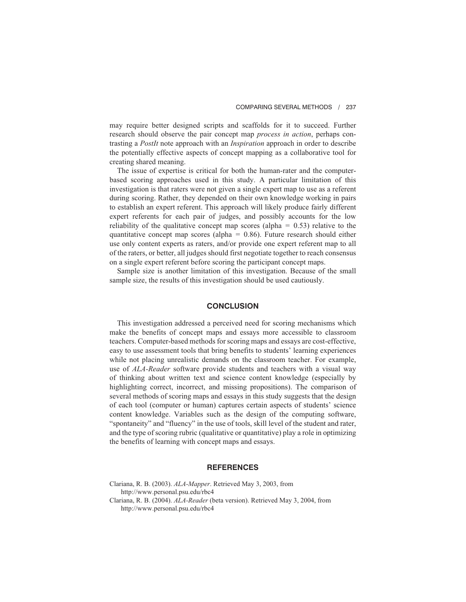may require better designed scripts and scaffolds for it to succeed. Further research should observe the pair concept map *process in action*, perhaps contrasting a *PostIt* note approach with an *Inspiration* approach in order to describe the potentially effective aspects of concept mapping as a collaborative tool for creating shared meaning.

The issue of expertise is critical for both the human-rater and the computerbased scoring approaches used in this study. A particular limitation of this investigation is that raters were not given a single expert map to use as a referent during scoring. Rather, they depended on their own knowledge working in pairs to establish an expert referent. This approach will likely produce fairly different expert referents for each pair of judges, and possibly accounts for the low reliability of the qualitative concept map scores (alpha  $= 0.53$ ) relative to the quantitative concept map scores (alpha =  $0.86$ ). Future research should either use only content experts as raters, and/or provide one expert referent map to all of the raters, or better, all judges should first negotiate together to reach consensus on a single expert referent before scoring the participant concept maps.

Sample size is another limitation of this investigation. Because of the small sample size, the results of this investigation should be used cautiously.

### **CONCLUSION**

This investigation addressed a perceived need for scoring mechanisms which make the benefits of concept maps and essays more accessible to classroom teachers. Computer-based methods for scoring maps and essays are cost-effective, easy to use assessment tools that bring benefits to students' learning experiences while not placing unrealistic demands on the classroom teacher. For example, use of *ALA-Reader* software provide students and teachers with a visual way of thinking about written text and science content knowledge (especially by highlighting correct, incorrect, and missing propositions). The comparison of several methods of scoring maps and essays in this study suggests that the design of each tool (computer or human) captures certain aspects of students' science content knowledge. Variables such as the design of the computing software, "spontaneity" and "fluency" in the use of tools, skill level of the student and rater, and the type of scoring rubric (qualitative or quantitative) play a role in optimizing the benefits of learning with concept maps and essays.

## **REFERENCES**

Clariana, R. B. (2003). *ALA-Mapper*. Retrieved May 3, 2003, from http://www.personal.psu.edu/rbc4 Clariana, R. B. (2004). *ALA-Reader* (beta version). Retrieved May 3, 2004, from http://www.personal.psu.edu/rbc4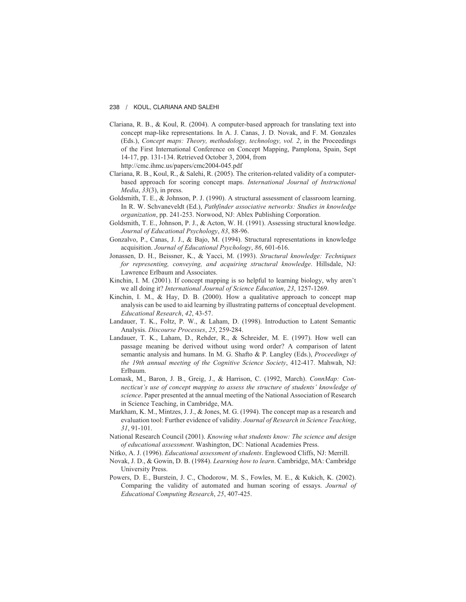- Clariana, R. B., & Koul, R. (2004). A computer-based approach for translating text into concept map-like representations. In A. J. Canas, J. D. Novak, and F. M. Gonzales (Eds.), *Concept maps: Theory, methodology, technology, vol. 2*, in the Proceedings of the First International Conference on Concept Mapping, Pamplona, Spain, Sept 14-17, pp. 131-134. Retrieved October 3, 2004, from http://cmc.ihmc.us/papers/cmc2004-045.pdf
- Clariana, R. B., Koul, R., & Salehi, R. (2005). The criterion-related validity of a computerbased approach for scoring concept maps. *International Journal of Instructional Media*, *33*(3), in press.
- Goldsmith, T. E., & Johnson, P. J. (1990). A structural assessment of classroom learning. In R. W. Schvaneveldt (Ed.), *Pathfinder associative networks: Studies in knowledge organization*, pp. 241-253. Norwood, NJ: Ablex Publishing Corporation.
- Goldsmith, T. E., Johnson, P. J., & Acton, W. H. (1991). Assessing structural knowledge. *Journal of Educational Psychology*, *83*, 88-96.
- Gonzalvo, P., Canas, J. J., & Bajo, M. (1994). Structural representations in knowledge acquisition. *Journal of Educational Psychology*, *86*, 601-616.
- Jonassen, D. H., Beissner, K., & Yacci, M. (1993). *Structural knowledge: Techniques for representing, conveying, and acquiring structural knowledge*. Hillsdale, NJ: Lawrence Erlbaum and Associates.
- Kinchin, I. M. (2001). If concept mapping is so helpful to learning biology, why aren't we all doing it? *International Journal of Science Education*, *23*, 1257-1269.
- Kinchin, I. M.,  $\&$  Hay, D. B. (2000). How a qualitative approach to concept map analysis can be used to aid learning by illustrating patterns of conceptual development. *Educational Research*, *42*, 43-57.
- Landauer, T. K., Foltz, P. W., & Laham, D. (1998). Introduction to Latent Semantic Analysis. *Discourse Processes*, *25*, 259-284.
- Landauer, T. K., Laham, D., Rehder, R., & Schreider, M. E. (1997). How well can passage meaning be derived without using word order? A comparison of latent semantic analysis and humans. In M. G. Shafto & P. Langley (Eds.), *Proceedings of the 19th annual meeting of the Cognitive Science Society*, 412-417. Mahwah, NJ: Erlbaum.
- Lomask, M., Baron, J. B., Greig, J., & Harrison, C. (1992, March). *ConnMap: Connecticut's use of concept mapping to assess the structure of students' knowledge of science*. Paper presented at the annual meeting of the National Association of Research in Science Teaching, in Cambridge, MA.
- Markham, K. M., Mintzes, J. J., & Jones, M. G. (1994). The concept map as a research and evaluation tool: Further evidence of validity. *Journal of Research in Science Teaching*, *31*, 91-101.
- National Research Council (2001). *Knowing what students know: The science and design of educational assessment*. Washington, DC: National Academies Press.
- Nitko, A. J. (1996). *Educational assessment of students*. Englewood Cliffs, NJ: Merrill.
- Novak, J. D., & Gowin, D. B. (1984). *Learning how to learn*. Cambridge, MA: Cambridge University Press.
- Powers, D. E., Burstein, J. C., Chodorow, M. S., Fowles, M. E., & Kukich, K. (2002). Comparing the validity of automated and human scoring of essays. *Journal of Educational Computing Research*, *25*, 407-425.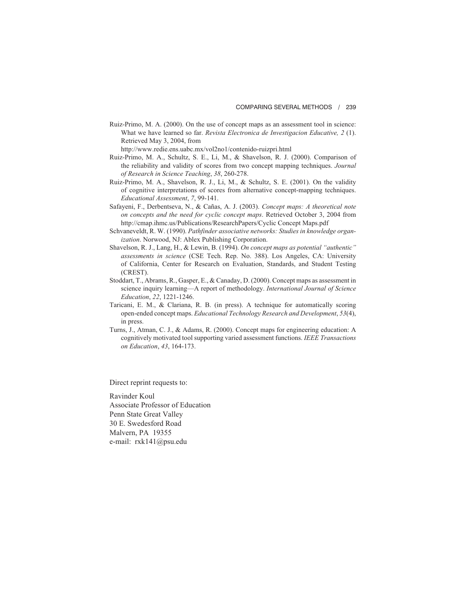Ruiz-Primo, M. A. (2000). On the use of concept maps as an assessment tool in science: What we have learned so far. *Revista Electronica de Investigacion Educative, 2* (1). Retrieved May 3, 2004, from

http://www.redie.ens.uabc.mx/vol2no1/contenido-ruizpri.html

- Ruiz-Primo, M. A., Schultz, S. E., Li, M., & Shavelson, R. J. (2000). Comparison of the reliability and validity of scores from two concept mapping techniques. *Journal of Research in Science Teaching*, *38*, 260-278.
- Ruiz-Primo, M. A., Shavelson, R. J., Li, M., & Schultz, S. E. (2001). On the validity of cognitive interpretations of scores from alternative concept-mapping techniques. *Educational Assessment*, *7*, 99-141.
- Safayeni, F., Derbentseva, N., & Cañas, A. J. (2003). *Concept maps: A theoretical note on concepts and the need for cyclic concept maps*. Retrieved October 3, 2004 from http://cmap.ihmc.us/Publications/ResearchPapers/Cyclic Concept Maps.pdf
- Schvaneveldt, R. W. (1990). *Pathfinder associative networks: Studies in knowledge organization*. Norwood, NJ: Ablex Publishing Corporation.
- Shavelson, R. J., Lang, H., & Lewin, B. (1994). *On concept maps as potential "authentic" assessments in science* (CSE Tech. Rep. No. 388). Los Angeles, CA: University of California, Center for Research on Evaluation, Standards, and Student Testing (CREST).
- Stoddart, T., Abrams, R., Gasper, E., & Canaday, D. (2000). Concept maps as assessment in science inquiry learning—A report of methodology. *International Journal of Science Education*, *22*, 1221-1246.
- Taricani, E. M., & Clariana, R. B. (in press). A technique for automatically scoring open-ended concept maps. *Educational Technology Research and Development*, *53*(4), in press.
- Turns, J., Atman, C. J., & Adams, R. (2000). Concept maps for engineering education: A cognitively motivated tool supporting varied assessment functions. *IEEE Transactions on Education*, *43*, 164-173.

Direct reprint requests to:

Ravinder Koul Associate Professor of Education Penn State Great Valley 30 E. Swedesford Road Malvern, PA 19355 e-mail: rxk141@psu.edu